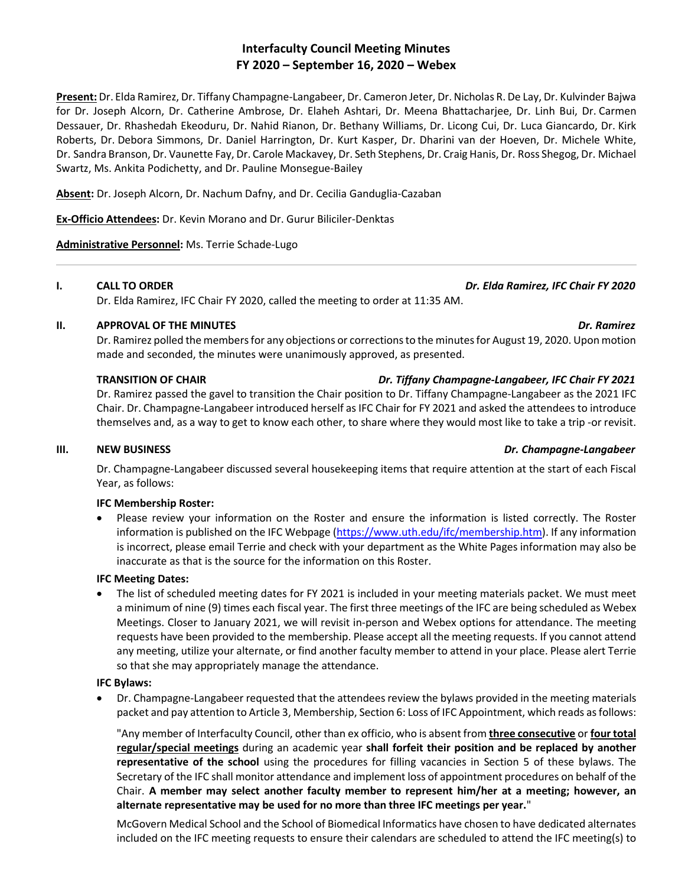# **Interfaculty Council Meeting Minutes FY 2020 – September 16, 2020 – Webex**

**Present:** Dr. Elda Ramirez, Dr. Tiffany Champagne-Langabeer, Dr. Cameron Jeter, Dr. Nicholas R. De Lay, Dr. Kulvinder Bajwa for Dr. Joseph Alcorn, Dr. Catherine Ambrose, Dr. Elaheh Ashtari, Dr. Meena Bhattacharjee, Dr. Linh Bui, Dr. Carmen Dessauer, Dr. Rhashedah Ekeoduru, Dr. Nahid Rianon, Dr. Bethany Williams, Dr. Licong Cui, Dr. Luca Giancardo, Dr. Kirk Roberts, Dr. Debora Simmons, Dr. Daniel Harrington, Dr. Kurt Kasper, Dr. Dharini van der Hoeven, Dr. Michele White, Dr. Sandra Branson, Dr. Vaunette Fay, Dr. Carole Mackavey, Dr. Seth Stephens, Dr. Craig Hanis, Dr. Ross Shegog, Dr. Michael Swartz, Ms. Ankita Podichetty, and Dr. Pauline Monsegue-Bailey

**Absent:** Dr. Joseph Alcorn, Dr. Nachum Dafny, and Dr. Cecilia Ganduglia-Cazaban

**Ex-Officio Attendees:** Dr. Kevin Morano and Dr. Gurur Biliciler-Denktas

**Administrative Personnel:** Ms. Terrie Schade-Lugo

## **I. CALL TO ORDER** *Dr. Elda Ramirez, IFC Chair FY 2020*

Dr. Elda Ramirez, IFC Chair FY 2020, called the meeting to order at 11:35 AM.

## **II. APPROVAL OF THE MINUTES** *Dr. Ramirez*

Dr. Ramirez polled the members for any objections or corrections to the minutes for August 19, 2020. Upon motion made and seconded, the minutes were unanimously approved, as presented.

## **TRANSITION OF CHAIR** *Dr. Tiffany Champagne-Langabeer, IFC Chair FY 2021*

Dr. Ramirez passed the gavel to transition the Chair position to Dr. Tiffany Champagne-Langabeer as the 2021 IFC Chair. Dr. Champagne-Langabeer introduced herself as IFC Chair for FY 2021 and asked the attendees to introduce themselves and, as a way to get to know each other, to share where they would most like to take a trip -or revisit.

## **III. NEW BUSINESS** *Dr. Champagne-Langabeer*

Dr. Champagne-Langabeer discussed several housekeeping items that require attention at the start of each Fiscal Year, as follows:

## **IFC Membership Roster:**

• Please review your information on the Roster and ensure the information is listed correctly. The Roster information is published on the IFC Webpage [\(https://www.uth.edu/ifc/membership.htm\)](https://www.uth.edu/ifc/membership.htm). If any information is incorrect, please email Terrie and check with your department as the White Pages information may also be inaccurate as that is the source for the information on this Roster.

## **IFC Meeting Dates:**

• The list of scheduled meeting dates for FY 2021 is included in your meeting materials packet. We must meet a minimum of nine (9) times each fiscal year. The first three meetings of the IFC are being scheduled as Webex Meetings. Closer to January 2021, we will revisit in-person and Webex options for attendance. The meeting requests have been provided to the membership. Please accept all the meeting requests. If you cannot attend any meeting, utilize your alternate, or find another faculty member to attend in your place. Please alert Terrie so that she may appropriately manage the attendance.

## **IFC Bylaws:**

• Dr. Champagne-Langabeer requested that the attendees review the bylaws provided in the meeting materials packet and pay attention to Article 3, Membership, Section 6: Loss of IFC Appointment, which reads as follows:

"Any member of Interfaculty Council, other than ex officio, who is absent from **three consecutive** or **four total regular/special meetings** during an academic year **shall forfeit their position and be replaced by another representative of the school** using the procedures for filling vacancies in Section 5 of these bylaws. The Secretary of the IFC shall monitor attendance and implement loss of appointment procedures on behalf of the Chair. **A member may select another faculty member to represent him/her at a meeting; however, an alternate representative may be used for no more than three IFC meetings per year.**"

McGovern Medical School and the School of Biomedical Informatics have chosen to have dedicated alternates included on the IFC meeting requests to ensure their calendars are scheduled to attend the IFC meeting(s) to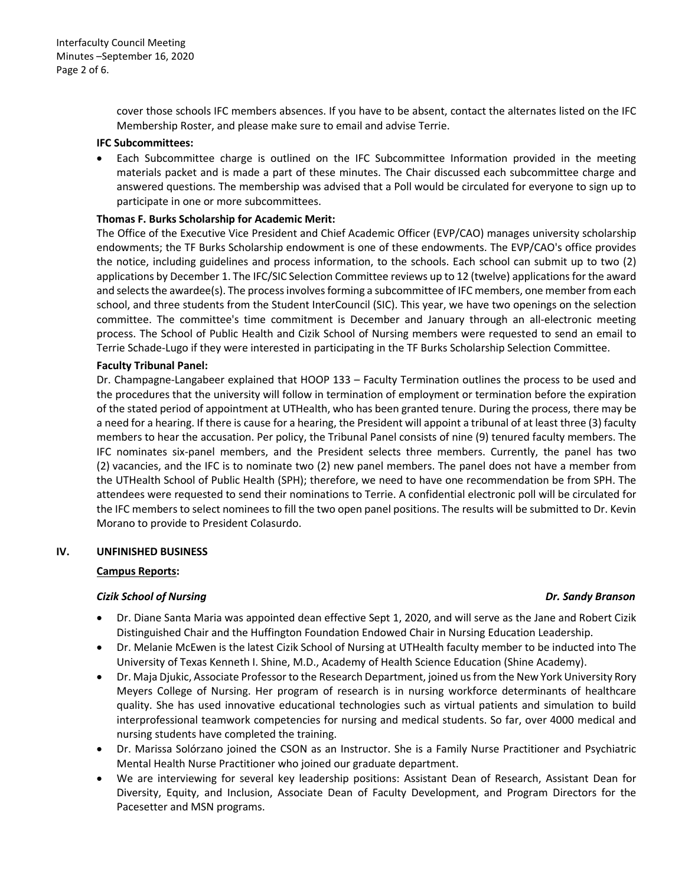cover those schools IFC members absences. If you have to be absent, contact the alternates listed on the IFC Membership Roster, and please make sure to email and advise Terrie.

#### **IFC Subcommittees:**

• Each Subcommittee charge is outlined on the IFC Subcommittee Information provided in the meeting materials packet and is made a part of these minutes. The Chair discussed each subcommittee charge and answered questions. The membership was advised that a Poll would be circulated for everyone to sign up to participate in one or more subcommittees.

## **Thomas F. Burks Scholarship for Academic Merit:**

The Office of the Executive Vice President and Chief Academic Officer (EVP/CAO) manages university scholarship endowments; the TF Burks Scholarship endowment is one of these endowments. The EVP/CAO's office provides the notice, including guidelines and process information, to the schools. Each school can submit up to two (2) applications by December 1. The IFC/SIC Selection Committee reviews up to 12 (twelve) applications for the award and selects the awardee(s). The process involves forming a subcommittee of IFC members, one member from each school, and three students from the Student InterCouncil (SIC). This year, we have two openings on the selection committee. The committee's time commitment is December and January through an all-electronic meeting process. The School of Public Health and Cizik School of Nursing members were requested to send an email to Terrie Schade-Lugo if they were interested in participating in the TF Burks Scholarship Selection Committee.

## **Faculty Tribunal Panel:**

Dr. Champagne-Langabeer explained that HOOP 133 – Faculty Termination outlines the process to be used and the procedures that the university will follow in termination of employment or termination before the expiration of the stated period of appointment at UTHealth, who has been granted tenure. During the process, there may be a need for a hearing. If there is cause for a hearing, the President will appoint a tribunal of at least three (3) faculty members to hear the accusation. Per policy, the Tribunal Panel consists of nine (9) tenured faculty members. The IFC nominates six-panel members, and the President selects three members. Currently, the panel has two (2) vacancies, and the IFC is to nominate two (2) new panel members. The panel does not have a member from the UTHealth School of Public Health (SPH); therefore, we need to have one recommendation be from SPH. The attendees were requested to send their nominations to Terrie. A confidential electronic poll will be circulated for the IFC members to select nominees to fill the two open panel positions. The results will be submitted to Dr. Kevin Morano to provide to President Colasurdo.

## **IV. UNFINISHED BUSINESS**

## **Campus Reports:**

## *Cizik School of Nursing Dr. Sandy Branson*

- Dr. Diane Santa Maria was appointed dean effective Sept 1, 2020, and will serve as the Jane and Robert Cizik Distinguished Chair and the Huffington Foundation Endowed Chair in Nursing Education Leadership.
- Dr. Melanie McEwen is the latest Cizik School of Nursing at UTHealth faculty member to be inducted into The University of Texas Kenneth I. Shine, M.D., Academy of Health Science Education (Shine Academy).
- Dr. Maja Djukic, Associate Professor to the Research Department, joined us from the New York University Rory Meyers College of Nursing. Her program of research is in nursing workforce determinants of healthcare quality. She has used innovative educational technologies such as virtual patients and simulation to build interprofessional teamwork competencies for nursing and medical students. So far, over 4000 medical and nursing students have completed the training.
- Dr. Marissa Solórzano joined the CSON as an Instructor. She is a Family Nurse Practitioner and Psychiatric Mental Health Nurse Practitioner who joined our graduate department.
- We are interviewing for several key leadership positions: Assistant Dean of Research, Assistant Dean for Diversity, Equity, and Inclusion, Associate Dean of Faculty Development, and Program Directors for the Pacesetter and MSN programs.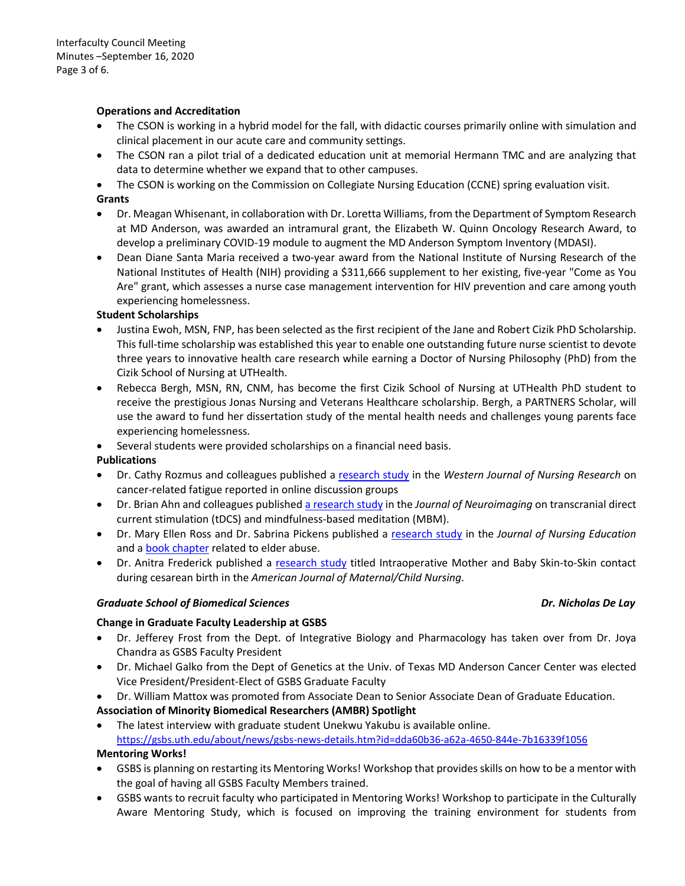## **Operations and Accreditation**

- The CSON is working in a hybrid model for the fall, with didactic courses primarily online with simulation and clinical placement in our acute care and community settings.
- The CSON ran a pilot trial of a dedicated education unit at memorial Hermann TMC and are analyzing that data to determine whether we expand that to other campuses.
- The CSON is working on the Commission on Collegiate Nursing Education (CCNE) spring evaluation visit.

## **Grants**

- Dr. Meagan Whisenant, in collaboration with Dr. Loretta Williams, from the Department of Symptom Research at MD Anderson, was awarded an intramural grant, the Elizabeth W. Quinn Oncology Research Award, to develop a preliminary COVID-19 module to augment the MD Anderson Symptom Inventory (MDASI).
- Dean Diane Santa Maria received a two-year award from the National Institute of Nursing Research of the National Institutes of Health (NIH) providing a \$311,666 supplement to her existing, five-year "Come as You Are" grant, which assesses a nurse case management intervention for HIV prevention and care among youth experiencing homelessness.

## **Student Scholarships**

- Justina Ewoh, MSN, FNP, has been selected as the first recipient of the Jane and Robert Cizik PhD Scholarship. This full-time scholarship was established this year to enable one outstanding future nurse scientist to devote three years to innovative health care research while earning a Doctor of Nursing Philosophy (PhD) from the Cizik School of Nursing at UTHealth.
- Rebecca Bergh, MSN, RN, CNM, has become the first Cizik School of Nursing at UTHealth PhD student to receive the prestigious Jonas Nursing and Veterans Healthcare scholarship. Bergh, a PARTNERS Scholar, will use the award to fund her dissertation study of the mental health needs and challenges young parents face experiencing homelessness.
- Several students were provided scholarships on a financial need basis.

## **Publications**

- Dr. Cathy Rozmus and colleagues published a [research study](https://journals.sagepub.com/doi/10.1177/0193945920954142) in the *Western Journal of Nursing Research* on cancer-related fatigue reported in online discussion groups
- Dr. Brian Ahn and colleagues publishe[d a research study](https://onlinelibrary.wiley.com/doi/10.1111/jon.12782) in the *Journal of Neuroimaging* on transcranial direct current stimulation (tDCS) and mindfulness-based meditation (MBM).
- Dr. Mary Ellen Ross and Dr. Sabrina Pickens published a [research study](https://www.healio.com/nursing/journals/jne/2020-6-59-6/%7B9aa51192-b9c1-4f1a-8b9d-60f599bbec05%7D/elder-abuse-education-using-standardized-patient-simulation-in-an-undergraduate-nursing-program) in the *Journal of Nursing Education*  and a **book chapter** related to elder abuse.
- Dr. Anitra Frederick published a [research study](https://journals.lww.com/mcnjournal/Abstract/2020/09000/Intraoperative_Mother_and_Baby_Skin_to_Skin.7.aspx) titled Intraoperative Mother and Baby Skin-to-Skin contact during cesarean birth in the *American Journal of Maternal/Child Nursing*.

## *Graduate School of Biomedical Sciences Dr. Nicholas De Lay*

## **Change in Graduate Faculty Leadership at GSBS**

- Dr. Jefferey Frost from the Dept. of Integrative Biology and Pharmacology has taken over from Dr. Joya Chandra as GSBS Faculty President
- Dr. Michael Galko from the Dept of Genetics at the Univ. of Texas MD Anderson Cancer Center was elected Vice President/President-Elect of GSBS Graduate Faculty
- Dr. William Mattox was promoted from Associate Dean to Senior Associate Dean of Graduate Education.

## **Association of Minority Biomedical Researchers (AMBR) Spotlight**

• The latest interview with graduate student Unekwu Yakubu is available online. <https://gsbs.uth.edu/about/news/gsbs-news-details.htm?id=dda60b36-a62a-4650-844e-7b16339f1056>

## **Mentoring Works!**

- GSBS is planning on restarting its Mentoring Works! Workshop that provides skills on how to be a mentor with the goal of having all GSBS Faculty Members trained.
- GSBS wants to recruit faculty who participated in Mentoring Works! Workshop to participate in the Culturally Aware Mentoring Study, which is focused on improving the training environment for students from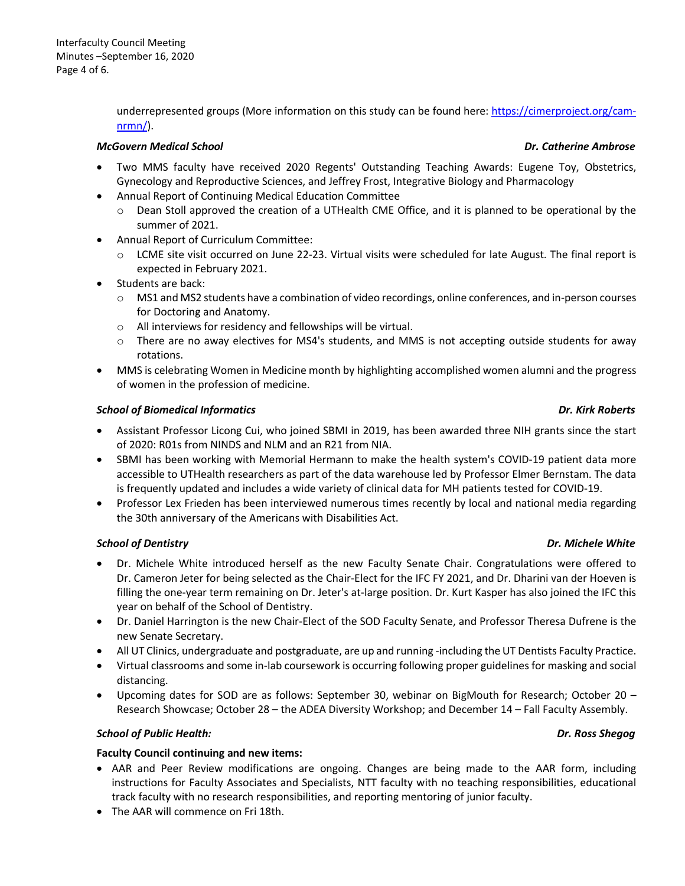underrepresented groups (More information on this study can be found here: [https://cimerproject.org/cam](https://cimerproject.org/cam-nrmn/)[nrmn/\)](https://cimerproject.org/cam-nrmn/).

## *McGovern Medical School Dr. Catherine Ambrose*

- Two MMS faculty have received 2020 Regents' Outstanding Teaching Awards: Eugene Toy, Obstetrics, Gynecology and Reproductive Sciences, and Jeffrey Frost, Integrative Biology and Pharmacology
- Annual Report of Continuing Medical Education Committee
	- $\circ$  Dean Stoll approved the creation of a UTHealth CME Office, and it is planned to be operational by the summer of 2021.
- Annual Report of Curriculum Committee:
	- o LCME site visit occurred on June 22-23. Virtual visits were scheduled for late August. The final report is expected in February 2021.
- Students are back:
	- o MS1 and MS2 students have a combination of video recordings, online conferences, and in-person courses for Doctoring and Anatomy.
	- o All interviews for residency and fellowships will be virtual.
	- o There are no away electives for MS4's students, and MMS is not accepting outside students for away rotations.
- MMS is celebrating Women in Medicine month by highlighting accomplished women alumni and the progress of women in the profession of medicine.

## *School of Biomedical Informatics Dr. Kirk Roberts*

- Assistant Professor Licong Cui, who joined SBMI in 2019, has been awarded three NIH grants since the start of 2020: R01s from NINDS and NLM and an R21 from NIA.
- SBMI has been working with Memorial Hermann to make the health system's COVID-19 patient data more accessible to UTHealth researchers as part of the data warehouse led by Professor Elmer Bernstam. The data is frequently updated and includes a wide variety of clinical data for MH patients tested for COVID-19.
- Professor Lex Frieden has been interviewed numerous times recently by local and national media regarding the 30th anniversary of the Americans with Disabilities Act.

## *School of Dentistry Dr. Michele White*

- Dr. Michele White introduced herself as the new Faculty Senate Chair. Congratulations were offered to Dr. Cameron Jeter for being selected as the Chair-Elect for the IFC FY 2021, and Dr. Dharini van der Hoeven is filling the one-year term remaining on Dr. Jeter's at-large position. Dr. Kurt Kasper has also joined the IFC this year on behalf of the School of Dentistry.
- Dr. Daniel Harrington is the new Chair-Elect of the SOD Faculty Senate, and Professor Theresa Dufrene is the new Senate Secretary.
- All UT Clinics, undergraduate and postgraduate, are up and running -including the UT Dentists Faculty Practice.
- Virtual classrooms and some in-lab coursework is occurring following proper guidelines for masking and social distancing.
- Upcoming dates for SOD are as follows: September 30, webinar on BigMouth for Research; October 20 Research Showcase; October 28 – the ADEA Diversity Workshop; and December 14 – Fall Faculty Assembly.

## *School of Public Health: Dr. Ross Shegog*

## **Faculty Council continuing and new items:**

- AAR and Peer Review modifications are ongoing. Changes are being made to the AAR form, including instructions for Faculty Associates and Specialists, NTT faculty with no teaching responsibilities, educational track faculty with no research responsibilities, and reporting mentoring of junior faculty.
- The AAR will commence on Fri 18th.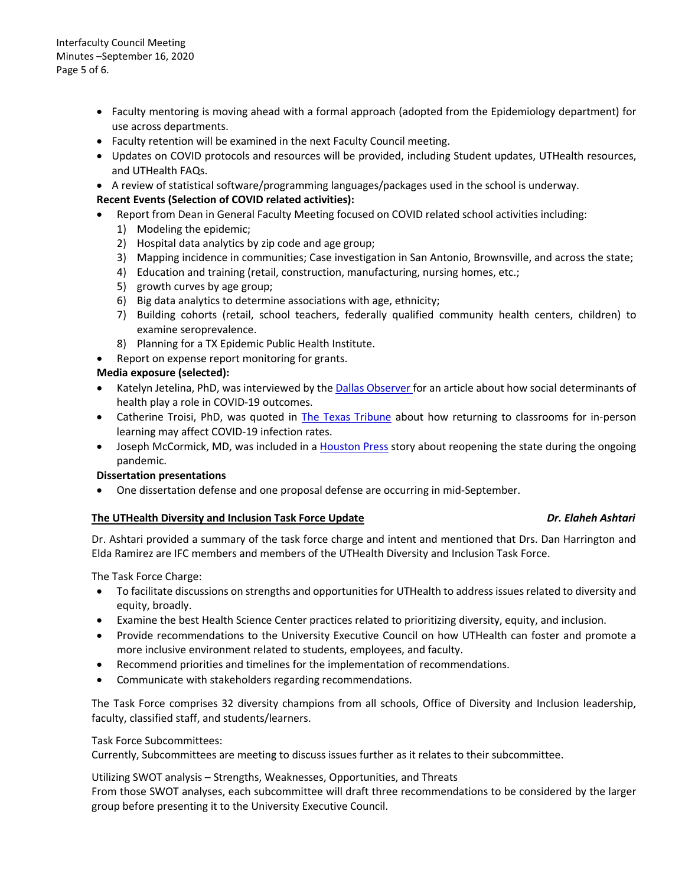Interfaculty Council Meeting Minutes –September 16, 2020 Page 5 of 6.

- Faculty mentoring is moving ahead with a formal approach (adopted from the Epidemiology department) for use across departments.
- Faculty retention will be examined in the next Faculty Council meeting.
- Updates on COVID protocols and resources will be provided, including Student updates, UTHealth resources, and UTHealth FAQs.
- A review of statistical software/programming languages/packages used in the school is underway.

## **Recent Events (Selection of COVID related activities):**

- Report from Dean in General Faculty Meeting focused on COVID related school activities including:
	- 1) Modeling the epidemic;
	- 2) Hospital data analytics by zip code and age group;
	- 3) Mapping incidence in communities; Case investigation in San Antonio, Brownsville, and across the state;
	- 4) Education and training (retail, construction, manufacturing, nursing homes, etc.;
	- 5) growth curves by age group;
	- 6) Big data analytics to determine associations with age, ethnicity;
	- 7) Building cohorts (retail, school teachers, federally qualified community health centers, children) to examine seroprevalence.
	- 8) Planning for a TX Epidemic Public Health Institute.
- Report on expense report monitoring for grants.

## **Media exposure (selected):**

- Katelyn Jetelina, PhD, was interviewed by the [Dallas Observer f](http://r20.rs6.net/tn.jsp?f=001olbHqHGnraYcE988CmUyzSxZSZrN5ase3vnynDswpuDJdz38j3TPrDpdxVN9-LFZo0yyEboAAyc6ncKDP19yCBV2Y8_SPp8ipMmSdI0xy1UfNhqLHilQhMeI-xNKC1AqTx-HKh-s9rD40GBqbSfzqFtvEZWS47cTa7eTOWacKFh17M6Lgs9ay_3kyVTKWdlnTUwKt1nVf9uzFc2y1gjvWQO0mBqMyp7L07s4Cwhg5asQLrfvyGdMsBwrPK8ooS89RlW_PKXi847MSZsMlYOJGvK3IsSp_cV7NJTrWJ8KqCUJzu-seUHtxdxZq-KBD-7WTu6wmvUKbZdXToaYLq9-ECS_PXQJlpvcukAF6OdlSQpeGE2_WmaphWLJ35KaOr3s6qotgm-YaHpJBUaDwDuzdGFZIhl9DiDyIjvdsYFtXXppzIqR3wv2yoLG5QS2EGXD8Qyc2HGgA_IAbytUAy4ZH0yEJyg-3qaIJuAj0LTkA6AXjd1WvfnPzR5W4CwPl_IvtP6VRK2VSdJ64CDV2ojtD7-JVjWoH-vo36wvvBVlf4_GT-uO6o9El8DpsszS66ALePaj0o_qsAG4RhgrhJ6gBkFe5RaoldoE1zXsyv4PXLgcdEh47iYiEoRhYa51BnJUnMl75BMyDbPeu_y_-5UeiNaBAYJp8wIZYrysAh-Bgk9EyMNAuKrktiZXBo5xDkufONgG3-sQfbEm_aSoyW3-PNLs88yF9IaZH8VWsZHRurIsBmxX7D1ek-GPyHUzBA2L1oxNjd37Aq-iBeBgNhhG1p5HOTBul6GNW5Q5RBnx9j8no7PzoJT5lr3IfsAv688SfhU9erC13clw1MQZVehET5QIxkbwsyr-aaynrFeNAAL6XL4EgBzfHR2t3dYjBP8jGRdJb9Xu-7RsRlQHlQCeRe1nz5zhTpvSmYoMN-QLofEG1-InrWwJhpyXdlmVyBWSY7z-S4tmqCEQ1h7utjHLLX8QQy_T9jytSj8ew8ZorcnrsjLEuMxm4TRJUmTAsjho_IZi6CtLYYU9GiTsdAQ-mOdCAPTOtdzm&c=Qp3Z-F-Xx_rtcAw7pPtBbGCotYjpaANI1KfHC_PIsw28W8Q2QvnWWg==&ch=C5RU9IvDdLXPC1zd5KvQHTn6-s_yu0-DYmsz_H3Ta97dqB01QqmsIA==)or an article about how social determinants of health play a role in COVID-19 outcomes.
- Catherine Troisi, PhD, was quoted in [The Texas Tribune](http://r20.rs6.net/tn.jsp?f=001olbHqHGnraYcE988CmUyzSxZSZrN5ase3vnynDswpuDJdz38j3TPrN0V0CXbswX-NJa8P7g7kHtWQwu76EBQHBrKZZ0ojJwQQmuPuWqOJELFRVYmwFCWlhaZpW2ZhDL7GiraVx5hbiA5YWo45oZzhwBi-YOD9ojzrenZ6uIaxDeAWJ8DvlRP-y4AFX_UsOg4lgLVljZxDyq-r9VBfYnbWQMgytQRmlCBrO5n6I_xunCXOzspEw2Tcdejzrhy51XT2ICBDLigL4cSne-V7fwA79Pw9KBmDgelJc1oXb9SNHyEBHJKOjlUtpnQjsPNSRXbMU7LCyAWzZn6LHcuCmMJlexPYZbiG9-FE32GdmzuhI8-G2woxmnkWunZ8XiuJhRY7V_-Kq8VBV3Now0TBE_Ivw4rKwERJlLWKQU7ZDPGA6OPokx79CEb0Hv83NOzK9ybeDkoa5rBrDmyDbj1xrwZQqrlbc92xB7Mtk-4Q70c1PVMxQccv3dTPlIeHsHsMLLY7ugqTwftdaZ-YMvNvaXw41y6RMCvunhnSs9zC3d1Xazrdq3Nmcc7f1NwxWNh-f4Kho9wGPjl0AnXqQCTzBMUmrpTlsl6RnaXnnFM1ay_P4RFnOtCmbIb5DwydEL0whWjKo-f1J-YxhONgeDLji2SMEXOFevyn_uIgfedI2XFaKZDsD0LwLpcH0ETFvUSpdsB447Raohp6tWdK7MruGXzGtPJv5iV2fN5SH2qpy1QKiChRsQRFVhskWLvqUzvwSp5PfHJQ9IYK5XTU6JOK7986qn5gROn6PWBjbktOs0P0XqWN760fFPP670vJXTBZioNMIEhJb5nQkXbwYaB8lH6kK-GcB_vdJlWIWtdHwK3iev4a1k5aT_s14lGgowc14MWx0oiCr_Q8k3MKjr3QhVWZQtIGCs83vvc5eul1_9TmcdDwzsVDCigjON9khXGLo-E4OxbJU8Nfxd8Rg2LscegKZZkF9zEgnBm6XO4np82k6bxaUS-na9q1hhqHAs31d5l&c=Qp3Z-F-Xx_rtcAw7pPtBbGCotYjpaANI1KfHC_PIsw28W8Q2QvnWWg==&ch=C5RU9IvDdLXPC1zd5KvQHTn6-s_yu0-DYmsz_H3Ta97dqB01QqmsIA==) about how returning to classrooms for in-person learning may affect COVID-19 infection rates.
- Joseph McCormick, MD, was included in a [Houston Press](http://r20.rs6.net/tn.jsp?f=001olbHqHGnraYcE988CmUyzSxZSZrN5ase3vnynDswpuDJdz38j3TPrN0V0CXbswX-SrDK7aEP0-9krUEYjhZAEGJDAZ6YWhDp3dFtyVOuvyuynlM6dmm9F-b2HayMlKU-_mnFo73BB7lU1r6w3DeRZLjjojDptpRl-ZdOqw7qxG2jZQOEcflIZFS4auZKRBSTqbKIP-uN7eM__JabJXvehJqYeRmJKek0XtRR2LCEikzfnQCPwe1k5xtsoxkNQqWO4G2h0Fy1fmxOrIf0FEFIGl6-IAwK_VZeS_jZFsv37hQ2ERds0c2xM2v9WQcZdVomHJUre5SjO1kZdWr0Ww6WTc9gTmc_GbFzR87X5a6FZotqClJtn1a6rXe3cMipQhMBaAm7Lp6S8FcITdn_SiWQtecTFpfB1D8LVOPGZYR7vyxXz3mnk-KVeuYhteGyoJjD2xrgN7ugFzKr8d1t2JHHakEllyy5Fex0OTMZeqEt60W4RhekdlJ2PNmi7DKPk1Sxj_ZeEKhKyJHrGXj6HpI8z-C94Zgxk5rn-f3bfFZ6bPariHXBqAzwOiujOLHwfaPB1Yq6f4P_voNLDDT1WzkcIMp-0-DrLoX1QcmK30HXgD3uKJPJDn1K2bzAGh2MAHqyx3ZgeKd311Llc-saeSvWghvZxj4owfXa8gLXopxG_U-0hBbQhWIrvQhNh7bTYTf5phW0hG-mRi0HIuUNpp5yenIq3DydYM4KXL-gmNnFWhap8ZTja-s9SgnDJwYniyBbDRNufoGAuTBhbqOEFWayWgqiZcwAmwZ_HpxvwD57OhGX4JZ4t7pmBRY0tv9oKmKwVZEtJkQRew4VQ5fYon4_Mov2LNcfNs4Gd8yRD0_jzVvRa1ZV43lwel7wBNVe8o79OWW8biyMsHWe59BMMoZNfOHHd8aNo3ZlURJ9x35NWyqI9cpj0kkWWcO51mZ9Ml8vgpF38yDgroMCWJWFlf5H_n656nosmGDEdOCi74ggVYZjwK89GdYrR6wWU270CLjWujUv7ak046RqoZ9dso3hgotzbc_bF2p7DeL63IrpfkI=&c=Qp3Z-F-Xx_rtcAw7pPtBbGCotYjpaANI1KfHC_PIsw28W8Q2QvnWWg==&ch=C5RU9IvDdLXPC1zd5KvQHTn6-s_yu0-DYmsz_H3Ta97dqB01QqmsIA==) story about reopening the state during the ongoing pandemic.

## **Dissertation presentations**

• One dissertation defense and one proposal defense are occurring in mid-September.

## **The UTHealth Diversity and Inclusion Task Force Update** *Dr. Elaheh Ashtari*

Dr. Ashtari provided a summary of the task force charge and intent and mentioned that Drs. Dan Harrington and Elda Ramirez are IFC members and members of the UTHealth Diversity and Inclusion Task Force.

The Task Force Charge:

- To facilitate discussions on strengths and opportunities for UTHealth to address issues related to diversity and equity, broadly.
- Examine the best Health Science Center practices related to prioritizing diversity, equity, and inclusion.
- Provide recommendations to the University Executive Council on how UTHealth can foster and promote a more inclusive environment related to students, employees, and faculty.
- Recommend priorities and timelines for the implementation of recommendations.
- Communicate with stakeholders regarding recommendations.

The Task Force comprises 32 diversity champions from all schools, Office of Diversity and Inclusion leadership, faculty, classified staff, and students/learners.

## Task Force Subcommittees:

Currently, Subcommittees are meeting to discuss issues further as it relates to their subcommittee.

Utilizing SWOT analysis – Strengths, Weaknesses, Opportunities, and Threats

From those SWOT analyses, each subcommittee will draft three recommendations to be considered by the larger group before presenting it to the University Executive Council.